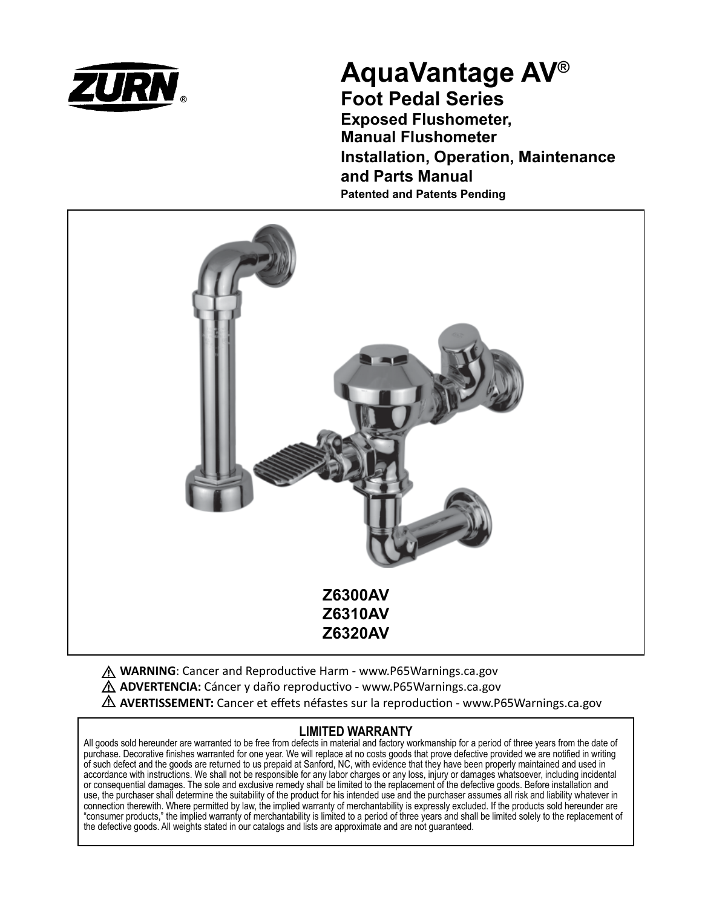

# **AquaVantage AV® Foot Pedal Series**

**Exposed Flushometer, Manual Flushometer Installation, Operation, Maintenance and Parts Manual Patented and Patents Pending**



**A WARNING**: Cancer and Reproductive Harm - www.P65Warnings.ca.gov **ADVERTENCIA:** Cáncer y daño reproductivo - www.P65Warnings.ca.gov **AVERTISSEMENT:** Cancer et effets néfastes sur la reproduction - www.P65Warnings.ca.gov

## **LIMITED WARRANTY**

All goods sold hereunder are warranted to be free from defects in material and factory workmanship for a period of three years from the date of purchase. Decorative finishes warranted for one year. We will replace at no costs goods that prove defective provided we are notified in writing of such defect and the goods are returned to us prepaid at Sanford, NC, with evidence that they have been properly maintained and used in accordance with instructions. We shall not be responsible for any labor charges or any loss, injury or damages whatsoever, including incidental or consequential damages. The sole and exclusive remedy shall be limited to the replacement of the defective goods. Before installation and use, the purchaser shall determine the suitability of the product for his intended use and the purchaser assumes all risk and liability whatever in connection therewith. Where permitted by law, the implied warranty of merchantability is expressly excluded. If the products sold hereunder are "consumer products," the implied warranty of merchantability is limited to a period of three years and shall be limited solely to the replacement of the defective goods. All weights stated in our catalogs and lists are approximate and are not guaranteed.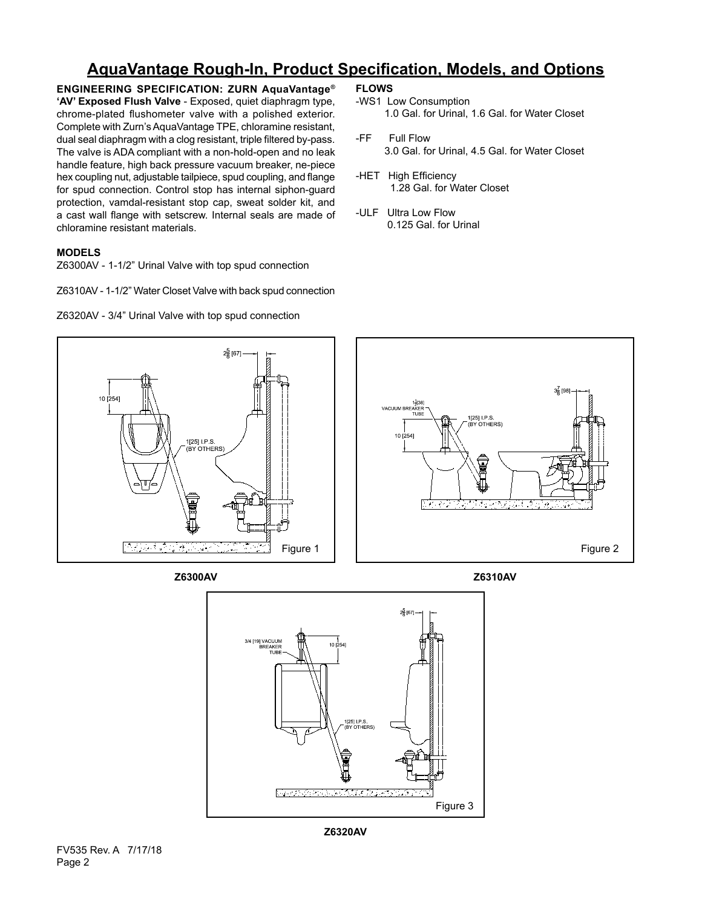# **AquaVantage Rough-In, Product Specification, Models, and Options**

**ENGINEERING SPECIFICATION: ZURN AquaVantage® 'AV' Exposed Flush Valve** - Exposed, quiet diaphragm type, chrome-plated flushometer valve with a polished exterior. Complete with Zurn's AquaVantage TPE, chloramine resistant, dual seal diaphragm with a clog resistant, triple filtered by-pass. The valve is ADA compliant with a non-hold-open and no leak handle feature, high back pressure vacuum breaker, ne-piece hex coupling nut, adjustable tailpiece, spud coupling, and flange for spud connection. Control stop has internal siphon-guard protection, vamdal-resistant stop cap, sweat solder kit, and a cast wall flange with setscrew. Internal seals are made of chloramine resistant materials.

### **MODELS**

Z6300AV - 1-1/2" Urinal Valve with top spud connection

Z6310AV - 1-1/2" Water Closet Valve with back spud connection

Z6320AV - 3/4" Urinal Valve with top spud connection

- **FLOWS**
- -WS1 Low Consumption 1.0 Gal. for Urinal, 1.6 Gal. for Water Closet
- -FF Full Flow 3.0 Gal. for Urinal, 4.5 Gal. for Water Closet
- -HET High Efficiency 1.28 Gal. for Water Closet
- -ULF Ultra Low Flow 0.125 Gal. for Urinal



**Z6300AV Z6310AV**





**Z6320AV**

FV535 Rev. A 7/17/18 Page 2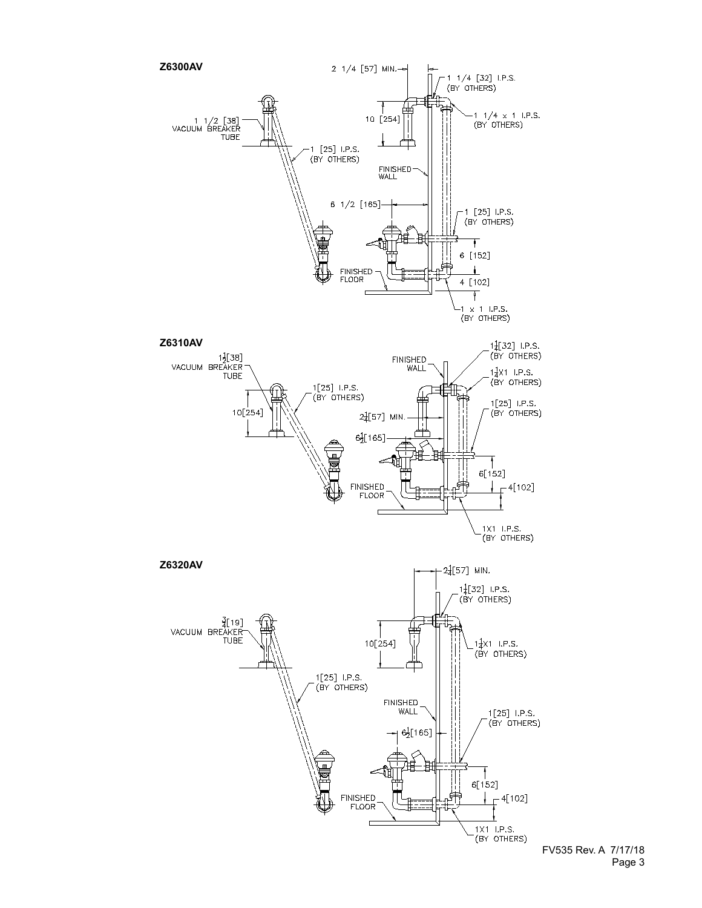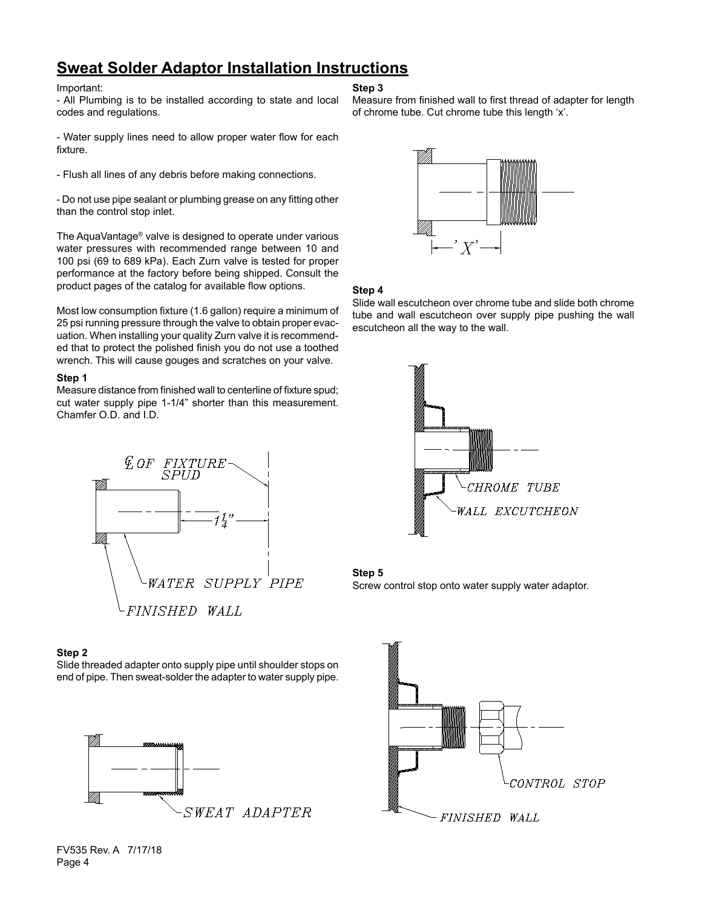# **Sweat Solder Adaptor Installation Instructions**

### Important:

- All Plumbing is to be installed according to state and local codes and regulations.

- Water supply lines need to allow proper water flow for each fixture.

- Flush all lines of any debris before making connections.

- Do not use pipe sealant or plumbing grease on any fitting other than the control stop inlet.

The AquaVantage® valve is designed to operate under various water pressures with recommended range between 10 and 100 psi (69 to 689 kPa). Each Zurn valve is tested for proper performance at the factory before being shipped. Consult the product pages of the catalog for available flow options.

Most low consumption fixture (1.6 gallon) require a minimum of 25 psi running pressure through the valve to obtain proper evacuation. When installing your quality Zurn valve it is recommended that to protect the polished finish you do not use a toothed wrench. This will cause gouges and scratches on your valve.

### **Step 1**

Measure distance from finished wall to centerline of fixture spud; cut water supply pipe 1-1/4" shorter than this measurement. Chamfer O.D. and I.D.



### **Step 2**

Slide threaded adapter onto supply pipe until shoulder stops on end of pipe. Then sweat-solder the adapter to water supply pipe.



### **Step 3**

Measure from finished wall to first thread of adapter for length of chrome tube. Cut chrome tube this length 'x'.



### **Step 4**

Slide wall escutcheon over chrome tube and slide both chrome tube and wall escutcheon over supply pipe pushing the wall escutcheon all the way to the wall.







### FV535 Rev. A 7/17/18 Page 4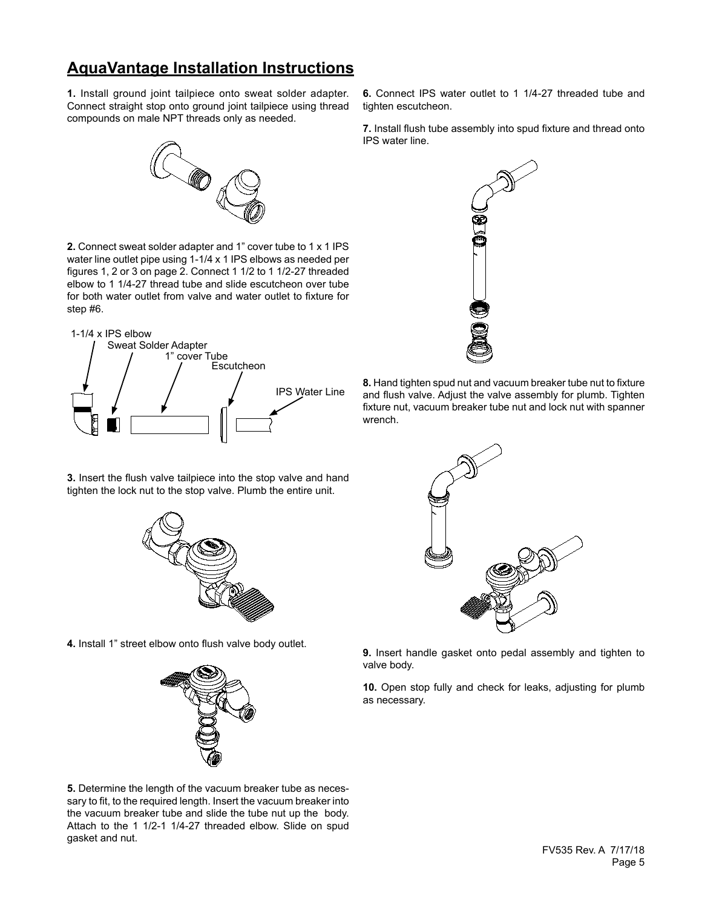# **AquaVantage Installation Instructions**

**1.** Install ground joint tailpiece onto sweat solder adapter. Connect straight stop onto ground joint tailpiece using thread compounds on male NPT threads only as needed.

# Ø

**2.** Connect sweat solder adapter and 1" cover tube to 1 x 1 IPS water line outlet pipe using 1-1/4 x 1 IPS elbows as needed per figures 1, 2 or 3 on page 2. Connect 1 1/2 to 1 1/2-27 threaded elbow to 1 1/4-27 thread tube and slide escutcheon over tube for both water outlet from valve and water outlet to fixture for step #6.





**6.** Connect IPS water outlet to 1 1/4-27 threaded tube and

**7.** Install flush tube assembly into spud fixture and thread onto

tighten escutcheon.

IPS water line.

**8.** Hand tighten spud nut and vacuum breaker tube nut to fixture and flush valve. Adjust the valve assembly for plumb. Tighten fixture nut, vacuum breaker tube nut and lock nut with spanner wrench.

**9.** Insert handle gasket onto pedal assembly and tighten to valve body.

**10.** Open stop fully and check for leaks, adjusting for plumb as necessary.

**3.** Insert the flush valve tailpiece into the stop valve and hand tighten the lock nut to the stop valve. Plumb the entire unit.



**4.** Install 1" street elbow onto flush valve body outlet.



**5.** Determine the length of the vacuum breaker tube as necessary to fit, to the required length. Insert the vacuum breaker into the vacuum breaker tube and slide the tube nut up the body. Attach to the 1 1/2-1 1/4-27 threaded elbow. Slide on spud gasket and nut.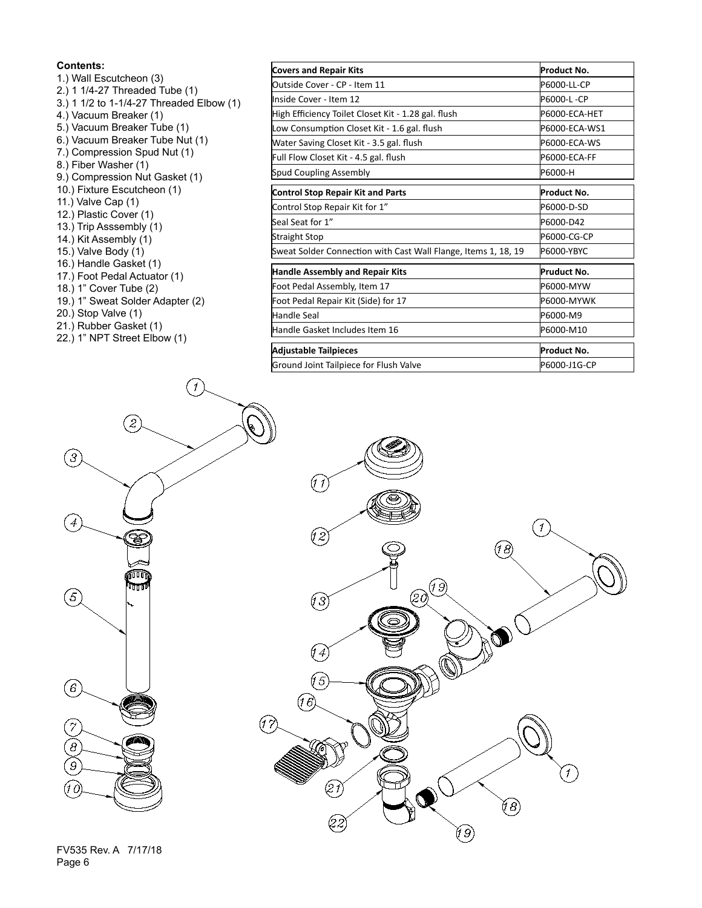### **Contents:**

- 1.) Wall Escutcheon (3) 2.) 1 1/4-27 Threaded Tube (1) 3.) 1 1/2 to 1-1/4-27 Threaded Elbow (1) 4.) Vacuum Breaker (1) 5.) Vacuum Breaker Tube (1) 6.) Vacuum Breaker Tube Nut (1) 7.) Compression Spud Nut (1) 8.) Fiber Washer (1) 9.) Compression Nut Gasket (1) 10.) Fixture Escutcheon (1) 11.) Valve Cap (1) 12.) Plastic Cover (1) 13.) Trip Asssembly (1) 14.) Kit Assembly (1) 15.) Valve Body (1) 16.) Handle Gasket (1) 17.) Foot Pedal Actuator (1) 18.) 1" Cover Tube (2) 19.) 1" Sweat Solder Adapter (2) 20.) Stop Valve (1) 21.) Rubber Gasket (1)
- 22.) 1" NPT Street Elbow (1)

 $\widehat{\mathcal{L}}$ 

| <b>Covers and Repair Kits</b>                                  | Product No.   |
|----------------------------------------------------------------|---------------|
| Outside Cover - CP - Item 11                                   | P6000-LL-CP   |
| Inside Cover - Item 12                                         | P6000-L-CP    |
| High Efficiency Toilet Closet Kit - 1.28 gal. flush            | P6000-ECA-HET |
| Low Consumption Closet Kit - 1.6 gal. flush                    | P6000-ECA-WS1 |
| Water Saving Closet Kit - 3.5 gal. flush                       | P6000-ECA-WS  |
| Full Flow Closet Kit - 4.5 gal. flush                          | P6000-ECA-FF  |
| Spud Coupling Assembly                                         | P6000-H       |
| Control Stop Repair Kit and Parts                              | Product No.   |
| Control Stop Repair Kit for 1"                                 | P6000-D-SD    |
| Seal Seat for 1"                                               | P6000-D42     |
| Straight Stop                                                  | P6000-CG-CP   |
| Sweat Solder Connection with Cast Wall Flange, Items 1, 18, 19 | P6000-YBYC    |
| <b>Handle Assembly and Repair Kits</b>                         | Pruduct No.   |
| Foot Pedal Assembly, Item 17                                   | P6000-MYW     |
| Foot Pedal Repair Kit (Side) for 17                            | P6000-MYWK    |
| Handle Seal                                                    | P6000-M9      |
| Handle Gasket Includes Item 16                                 | P6000-M10     |
| <b>Adjustable Tailpieces</b>                                   | Product No.   |
| Ground Joint Tailpiece for Flush Valve                         | P6000-J1G-CP  |





FV535 Rev. A 7/17/18 Page 6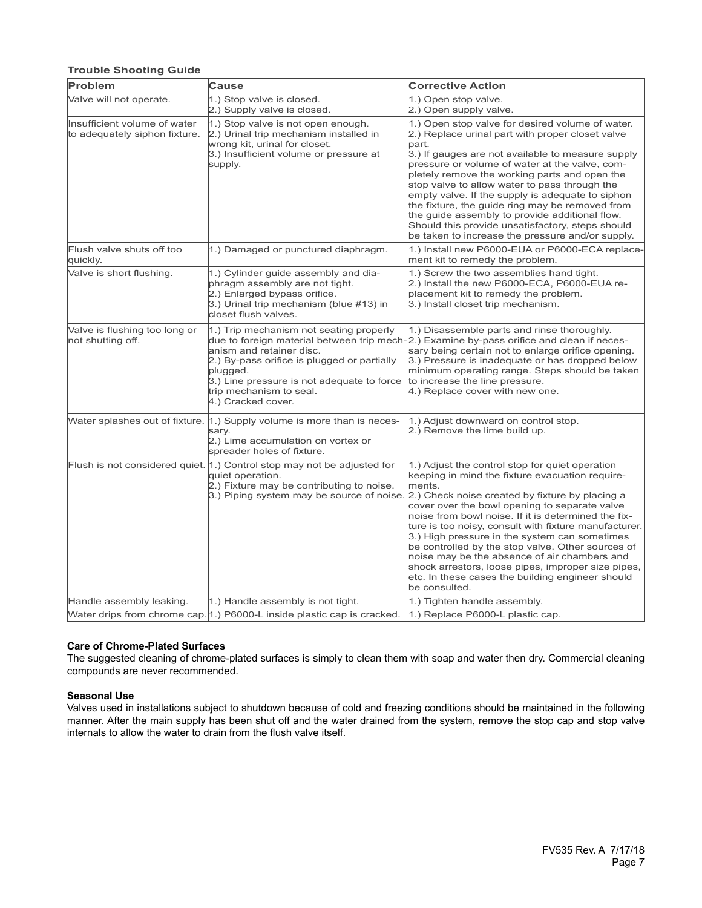### **Trouble Shooting Guide**

| Problem                                                       | Cause                                                                                                                                                                                                                         | <b>Corrective Action</b>                                                                                                                                                                                                                                                                                                                                                                                                                                                                                                                                                                                                                                     |
|---------------------------------------------------------------|-------------------------------------------------------------------------------------------------------------------------------------------------------------------------------------------------------------------------------|--------------------------------------------------------------------------------------------------------------------------------------------------------------------------------------------------------------------------------------------------------------------------------------------------------------------------------------------------------------------------------------------------------------------------------------------------------------------------------------------------------------------------------------------------------------------------------------------------------------------------------------------------------------|
| Valve will not operate.                                       | 1.) Stop valve is closed.<br>2.) Supply valve is closed.                                                                                                                                                                      | 1.) Open stop valve.<br>2.) Open supply valve.                                                                                                                                                                                                                                                                                                                                                                                                                                                                                                                                                                                                               |
| Insufficient volume of water<br>to adequately siphon fixture. | 1.) Stop valve is not open enough.<br>2.) Urinal trip mechanism installed in<br>wrong kit, urinal for closet.<br>3.) Insufficient volume or pressure at<br>supply.                                                            | 1.) Open stop valve for desired volume of water.<br>2.) Replace urinal part with proper closet valve<br>part.<br>3.) If gauges are not available to measure supply<br>pressure or volume of water at the valve, com-<br>pletely remove the working parts and open the<br>stop valve to allow water to pass through the<br>empty valve. If the supply is adequate to siphon<br>the fixture, the guide ring may be removed from<br>the guide assembly to provide additional flow.<br>Should this provide unsatisfactory, steps should<br>be taken to increase the pressure and/or supply.                                                                      |
| Flush valve shuts off too<br>quickly.                         | 1.) Damaged or punctured diaphragm.                                                                                                                                                                                           | 1.) Install new P6000-EUA or P6000-ECA replace-<br>ment kit to remedy the problem.                                                                                                                                                                                                                                                                                                                                                                                                                                                                                                                                                                           |
| Valve is short flushing.                                      | 1.) Cylinder guide assembly and dia-<br>phragm assembly are not tight.<br>2.) Enlarged bypass orifice.<br>3.) Urinal trip mechanism (blue #13) in<br>closet flush valves.                                                     | 1.) Screw the two assemblies hand tight.<br>2.) Install the new P6000-ECA, P6000-EUA re-<br>placement kit to remedy the problem.<br>3.) Install closet trip mechanism.                                                                                                                                                                                                                                                                                                                                                                                                                                                                                       |
| Valve is flushing too long or<br>not shutting off.            | 1.) Trip mechanism not seating properly<br>anism and retainer disc.<br>2.) By-pass orifice is plugged or partially<br>plugged.<br>3.) Line pressure is not adequate to force<br>trip mechanism to seal.<br>4.) Cracked cover. | 1.) Disassemble parts and rinse thoroughly.<br>due to foreign material between trip mech-2.) Examine by-pass orifice and clean if neces-<br>sary being certain not to enlarge orifice opening.<br>3.) Pressure is inadequate or has dropped below<br>minimum operating range. Steps should be taken<br>to increase the line pressure.<br>4.) Replace cover with new one.                                                                                                                                                                                                                                                                                     |
|                                                               | Water splashes out of fixture. [1.] Supply volume is more than is neces-<br>sary.<br>2.) Lime accumulation on vortex or<br>spreader holes of fixture.                                                                         | 1.) Adjust downward on control stop.<br>2.) Remove the lime build up.                                                                                                                                                                                                                                                                                                                                                                                                                                                                                                                                                                                        |
|                                                               | Flush is not considered quiet. [1.] Control stop may not be adjusted for<br>quiet operation.<br>2.) Fixture may be contributing to noise.                                                                                     | 1.) Adjust the control stop for quiet operation<br>keeping in mind the fixture evacuation require-<br>ments.<br>3.) Piping system may be source of noise. [2.) Check noise created by fixture by placing a<br>cover over the bowl opening to separate valve<br>noise from bowl noise. If it is determined the fix-<br>ture is too noisy, consult with fixture manufacturer.<br>3.) High pressure in the system can sometimes<br>be controlled by the stop valve. Other sources of<br>noise may be the absence of air chambers and<br>shock arrestors, loose pipes, improper size pipes,<br>etc. In these cases the building engineer should<br>be consulted. |
| Handle assembly leaking.                                      | 1.) Handle assembly is not tight.                                                                                                                                                                                             | 1.) Tighten handle assembly.                                                                                                                                                                                                                                                                                                                                                                                                                                                                                                                                                                                                                                 |
|                                                               | Water drips from chrome cap. [1.] P6000-L inside plastic cap is cracked.                                                                                                                                                      | 1.) Replace P6000-L plastic cap.                                                                                                                                                                                                                                                                                                                                                                                                                                                                                                                                                                                                                             |

### **Care of Chrome-Plated Surfaces**

The suggested cleaning of chrome-plated surfaces is simply to clean them with soap and water then dry. Commercial cleaning compounds are never recommended.

### **Seasonal Use**

Valves used in installations subject to shutdown because of cold and freezing conditions should be maintained in the following manner. After the main supply has been shut off and the water drained from the system, remove the stop cap and stop valve internals to allow the water to drain from the flush valve itself.